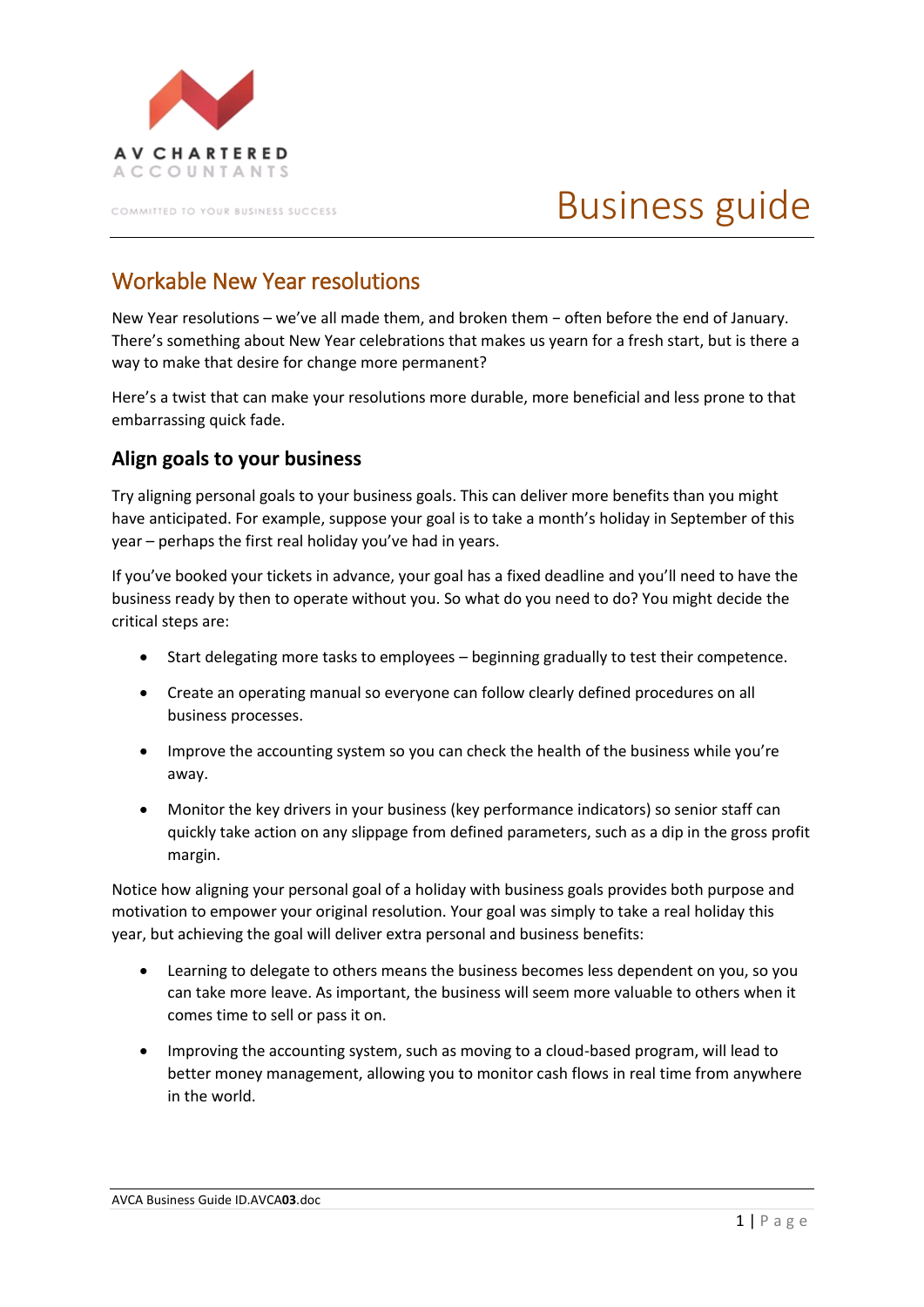

COMMITTED TO YOUR BUSINESS SUCCESS

# Business guide

## Workable New Year resolutions

New Year resolutions – we've all made them, and broken them − often before the end of January. There's something about New Year celebrations that makes us yearn for a fresh start, but is there a way to make that desire for change more permanent?

Here's a twist that can make your resolutions more durable, more beneficial and less prone to that embarrassing quick fade.

#### **Align goals to your business**

Try aligning personal goals to your business goals. This can deliver more benefits than you might have anticipated. For example, suppose your goal is to take a month's holiday in September of this year – perhaps the first real holiday you've had in years.

If you've booked your tickets in advance, your goal has a fixed deadline and you'll need to have the business ready by then to operate without you. So what do you need to do? You might decide the critical steps are:

- Start delegating more tasks to employees beginning gradually to test their competence.
- Create an operating manual so everyone can follow clearly defined procedures on all business processes.
- Improve the accounting system so you can check the health of the business while you're away.
- Monitor the key drivers in your business (key performance indicators) so senior staff can quickly take action on any slippage from defined parameters, such as a dip in the gross profit margin.

Notice how aligning your personal goal of a holiday with business goals provides both purpose and motivation to empower your original resolution. Your goal was simply to take a real holiday this year, but achieving the goal will deliver extra personal and business benefits:

- Learning to delegate to others means the business becomes less dependent on you, so you can take more leave. As important, the business will seem more valuable to others when it comes time to sell or pass it on.
- Improving the accounting system, such as moving to a cloud-based program, will lead to better money management, allowing you to monitor cash flows in real time from anywhere in the world.